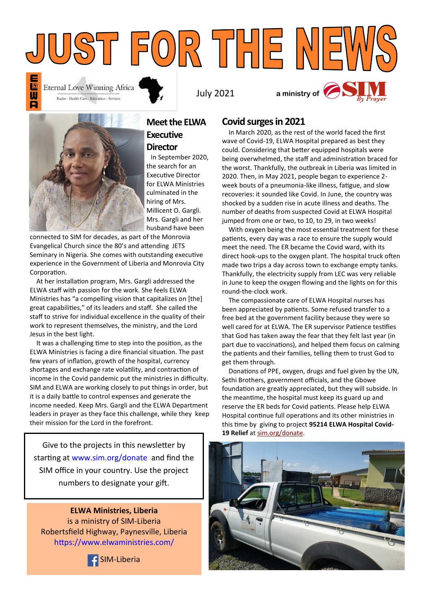



**Meet the ELWA Executive Director**

 In September 2020, the search for an Executive Director for ELWA Ministries culminated in the hiring of Mrs. Millicent O. Gargli. Mrs. Gargli and her husband have been

connected to SIM for decades, as part of the Monrovia Evangelical Church since the 80's and attending JETS Seminary in Nigeria. She comes with outstanding executive experience in the Government of Liberia and Monrovia City Corporation.

 At her installation program, Mrs. Gargli addressed the ELWA staff with passion for the work. She feels ELWA Ministries has "a compelling vision that capitalizes on [the] great capabilities," of its leaders and staff. She called the staff to strive for individual excellence in the quality of their work to represent themselves, the ministry, and the Lord Jesus in the best light.

 It was a challenging time to step into the position, as the ELWA Ministries is facing a dire financial situation. The past few years of inflation, growth of the hospital, currency shortages and exchange rate volatility, and contraction of income in the Covid pandemic put the ministries in difficulty. SIM and ELWA are working closely to put things in order, but it is a daily battle to control expenses and generate the income needed. Keep Mrs. Gargli and the ELWA Department leaders in prayer as they face this challenge, while they keep their mission for the Lord in the forefront.

Give to the projects in this newsletter by starting at [www.sim.org/donate](http://www.sim.org/donate) and find the SIM office in your country. Use the project numbers to designate your gift.

**ELWA Ministries, Liberia**  is a ministry of SIM-Liberia Robertsfield Highway, Paynesville, Liberia <https://www.elwaministries.com/>



## **Covid surges in 2021**

 In March 2020, as the rest of the world faced the first wave of Covid-19, ELWA Hospital prepared as best they could. Considering that better equipped hospitals were being overwhelmed, the staff and administration braced for the worst. Thankfully, the outbreak in Liberia was limited in 2020. Then, in May 2021, people began to experience 2 week bouts of a pneumonia-like illness, fatigue, and slow recoveries: it sounded like Covid. In June, the country was shocked by a sudden rise in acute illness and deaths. The number of deaths from suspected Covid at ELWA Hospital jumped from one or two, to 10, to 29, in two weeks!

 With oxygen being the most essential treatment for these patients, every day was a race to ensure the supply would meet the need. The ER became the Covid ward, with its direct hook-ups to the oxygen plant. The hospital truck often made two trips a day across town to exchange empty tanks. Thankfully, the electricity supply from LEC was very reliable in June to keep the oxygen flowing and the lights on for this round-the-clock work.

 The compassionate care of ELWA Hospital nurses has been appreciated by patients. Some refused transfer to a free bed at the government facility because they were so well cared for at ELWA. The ER supervisor Patience testifies that God has taken away the fear that they felt last year (in part due to vaccinations), and helped them focus on calming the patients and their families, telling them to trust God to get them through.

 Donations of PPE, oxygen, drugs and fuel given by the UN, Sethi Brothers, government officials, and the Gbowe foundation are greatly appreciated, but they will subside. In the meantime, the hospital must keep its guard up and reserve the ER beds for Covid patients. Please help ELWA Hospital continue full operations and its other ministries in this time by giving to project **95214 ELWA Hospital Covid-19 Relief** at [sim.org/donate.](https://www.sim.org/donate)